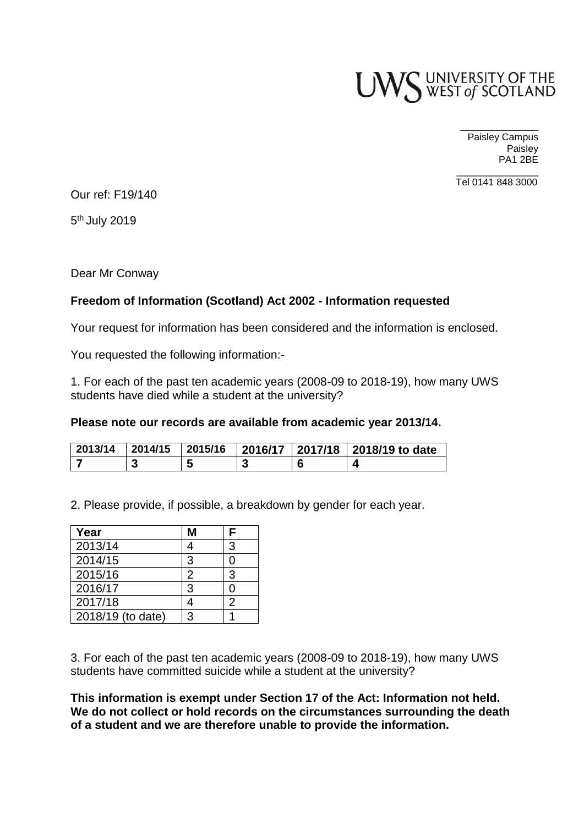

\_\_\_\_\_\_\_\_\_\_\_\_\_ Paisley Campus **Paisley** PA1 2BE

 $\overline{\phantom{a}}$  ,  $\overline{\phantom{a}}$  ,  $\overline{\phantom{a}}$  ,  $\overline{\phantom{a}}$  ,  $\overline{\phantom{a}}$  ,  $\overline{\phantom{a}}$  ,  $\overline{\phantom{a}}$  ,  $\overline{\phantom{a}}$  ,  $\overline{\phantom{a}}$  ,  $\overline{\phantom{a}}$  ,  $\overline{\phantom{a}}$  ,  $\overline{\phantom{a}}$  ,  $\overline{\phantom{a}}$  ,  $\overline{\phantom{a}}$  ,  $\overline{\phantom{a}}$  ,  $\overline{\phantom{a}}$ Tel 0141 848 3000

Our ref: F19/140

5<sup>th</sup> July 2019

Dear Mr Conway

# **Freedom of Information (Scotland) Act 2002 - Information requested**

Your request for information has been considered and the information is enclosed.

You requested the following information:-

1. For each of the past ten academic years (2008-09 to 2018-19), how many UWS students have died while a student at the university?

## **Please note our records are available from academic year 2013/14.**

| 2013/14 | 2014/15 | 2015/16 |        | 2016/17   2017/18   2018/19 to date |
|---------|---------|---------|--------|-------------------------------------|
|         | J.      |         | ◠<br>N |                                     |

2. Please provide, if possible, a breakdown by gender for each year.

| Year              | М | F |
|-------------------|---|---|
| 2013/14           |   | 3 |
| 2014/15           | 3 | ი |
| 2015/16           | 2 | 3 |
| 2016/17           | 3 | 0 |
| 2017/18           |   | 2 |
| 2018/19 (to date) | વ |   |

3. For each of the past ten academic years (2008-09 to 2018-19), how many UWS students have committed suicide while a student at the university?

**This information is exempt under Section 17 of the Act: Information not held. We do not collect or hold records on the circumstances surrounding the death of a student and we are therefore unable to provide the information.**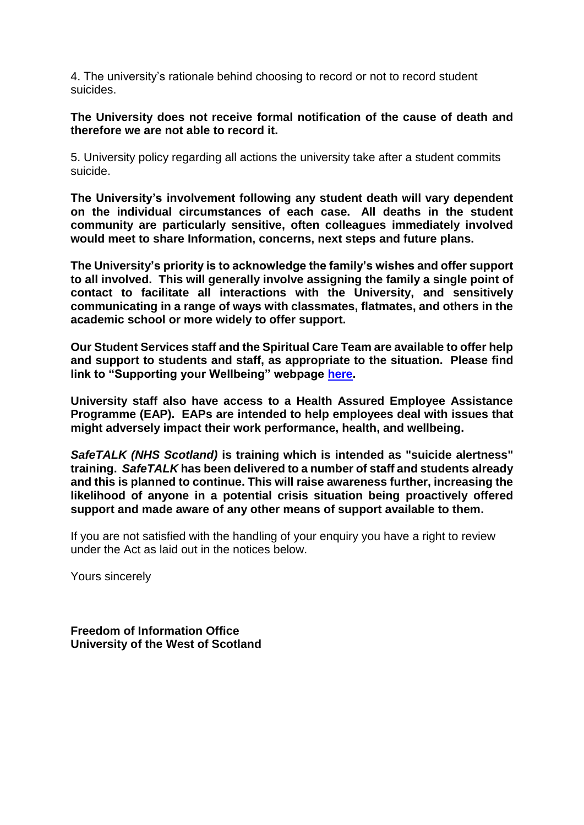4. The university's rationale behind choosing to record or not to record student suicides.

**The University does not receive formal notification of the cause of death and therefore we are not able to record it.** 

5. University policy regarding all actions the university take after a student commits suicide.

**The University's involvement following any student death will vary dependent on the individual circumstances of each case. All deaths in the student community are particularly sensitive, often colleagues immediately involved would meet to share Information, concerns, next steps and future plans.** 

**The University's priority is to acknowledge the family's wishes and offer support to all involved. This will generally involve assigning the family a single point of contact to facilitate all interactions with the University, and sensitively communicating in a range of ways with classmates, flatmates, and others in the academic school or more widely to offer support.**

**Our Student Services staff and the Spiritual Care Team are available to offer help and support to students and staff, as appropriate to the situation. Please find link to "Supporting your Wellbeing" webpage [here.](https://www.uws.ac.uk/university-life/student-support-wellbeing/supporting-your-wellbeing/)** 

**University staff also have access to a Health Assured Employee Assistance Programme (EAP). EAPs are intended to help employees deal with issues that might adversely impact their work performance, health, and wellbeing.**

*SafeTALK (NHS Scotland)* **is training which is intended as "suicide alertness" training.** *SafeTALK* **has been delivered to a number of staff and students already and this is planned to continue. This will raise awareness further, increasing the likelihood of anyone in a potential crisis situation being proactively offered support and made aware of any other means of support available to them.**

If you are not satisfied with the handling of your enquiry you have a right to review under the Act as laid out in the notices below.

Yours sincerely

**Freedom of Information Office University of the West of Scotland**